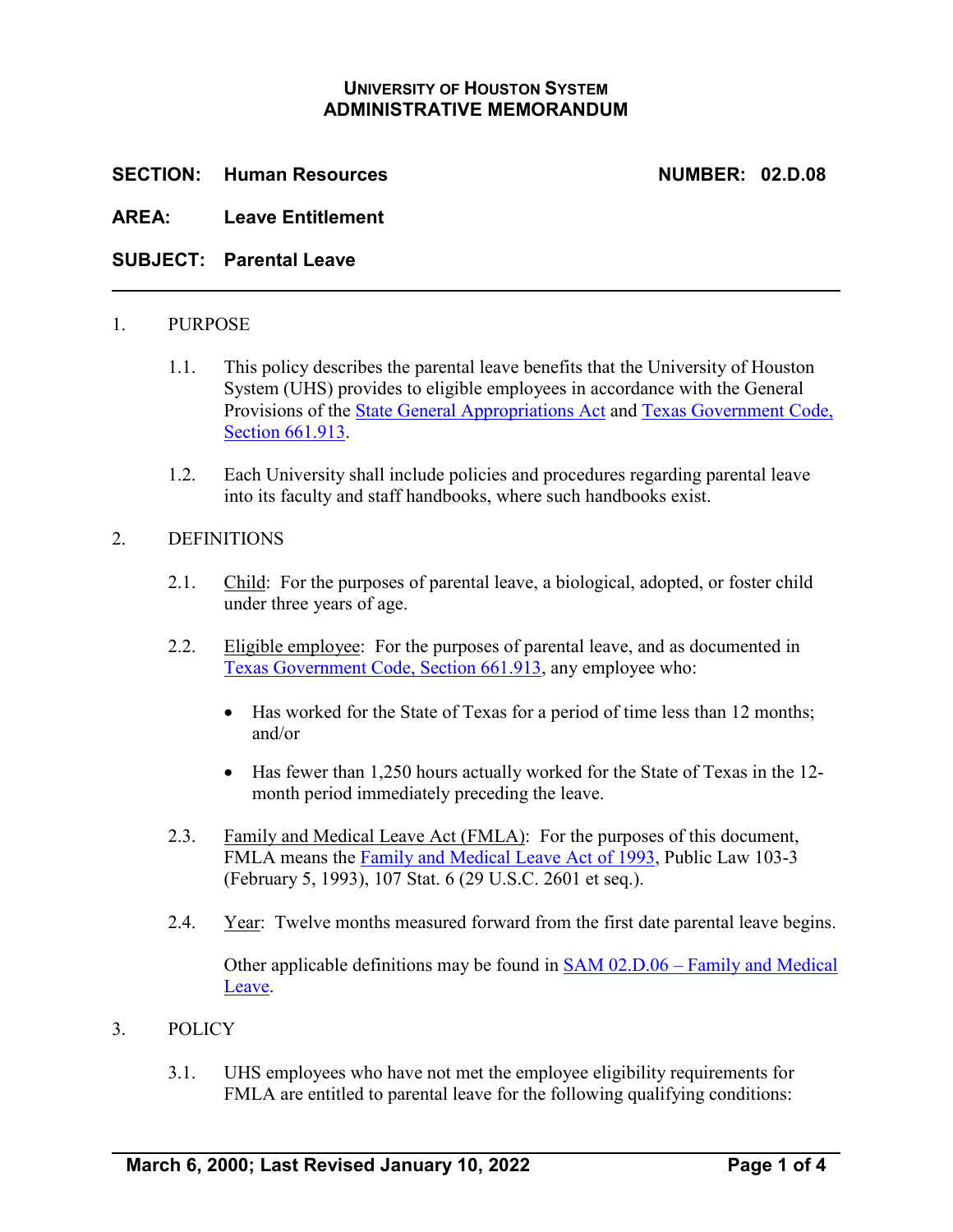# **UNIVERSITY OF HOUSTON SYSTEM ADMINISTRATIVE MEMORANDUM**

## **SECTION: Human Resources NUMBER: 02.D.08**

### **AREA: Leave Entitlement**

### **SUBJECT: Parental Leave**

#### 1. PURPOSE

- 1.1. This policy describes the parental leave benefits that the University of Houston System (UHS) provides to eligible employees in accordance with the General Provisions of the [State General Appropriations Act](https://www.lbb.texas.gov/) and Texas Government Code, Section **661.913**.
- 1.2. Each University shall include policies and procedures regarding parental leave into its faculty and staff handbooks, where such handbooks exist.

#### 2. DEFINITIONS

- 2.1. Child: For the purposes of parental leave, a biological, adopted, or foster child under three years of age.
- 2.2. Eligible employee: For the purposes of parental leave, and as documented in [Texas Government Code, Section 661.913,](http://www.statutes.legis.state.tx.us/Docs/GV/htm/GV.661.htm#661.913) any employee who:
	- Has worked for the State of Texas for a period of time less than 12 months; and/or
	- Has fewer than 1,250 hours actually worked for the State of Texas in the 12 month period immediately preceding the leave.
- 2.3. Family and Medical Leave Act (FMLA): For the purposes of this document, FMLA means the [Family and Medical Leave Act of 1993,](https://www.dol.gov/agencies/whd/fmla) Public Law 103-3 (February 5, 1993), 107 Stat. 6 (29 U.S.C. 2601 et seq.).
- 2.4. Year: Twelve months measured forward from the first date parental leave begins. Other applicable definitions may be found in [SAM 02.D.06 –](https://uhsystem.edu/compliance-ethics/_docs/sam/02/2d6.pdf) Family and Medical [Leave.](https://uhsystem.edu/compliance-ethics/_docs/sam/02/2d6.pdf)

#### 3. POLICY

3.1. UHS employees who have not met the employee eligibility requirements for FMLA are entitled to parental leave for the following qualifying conditions: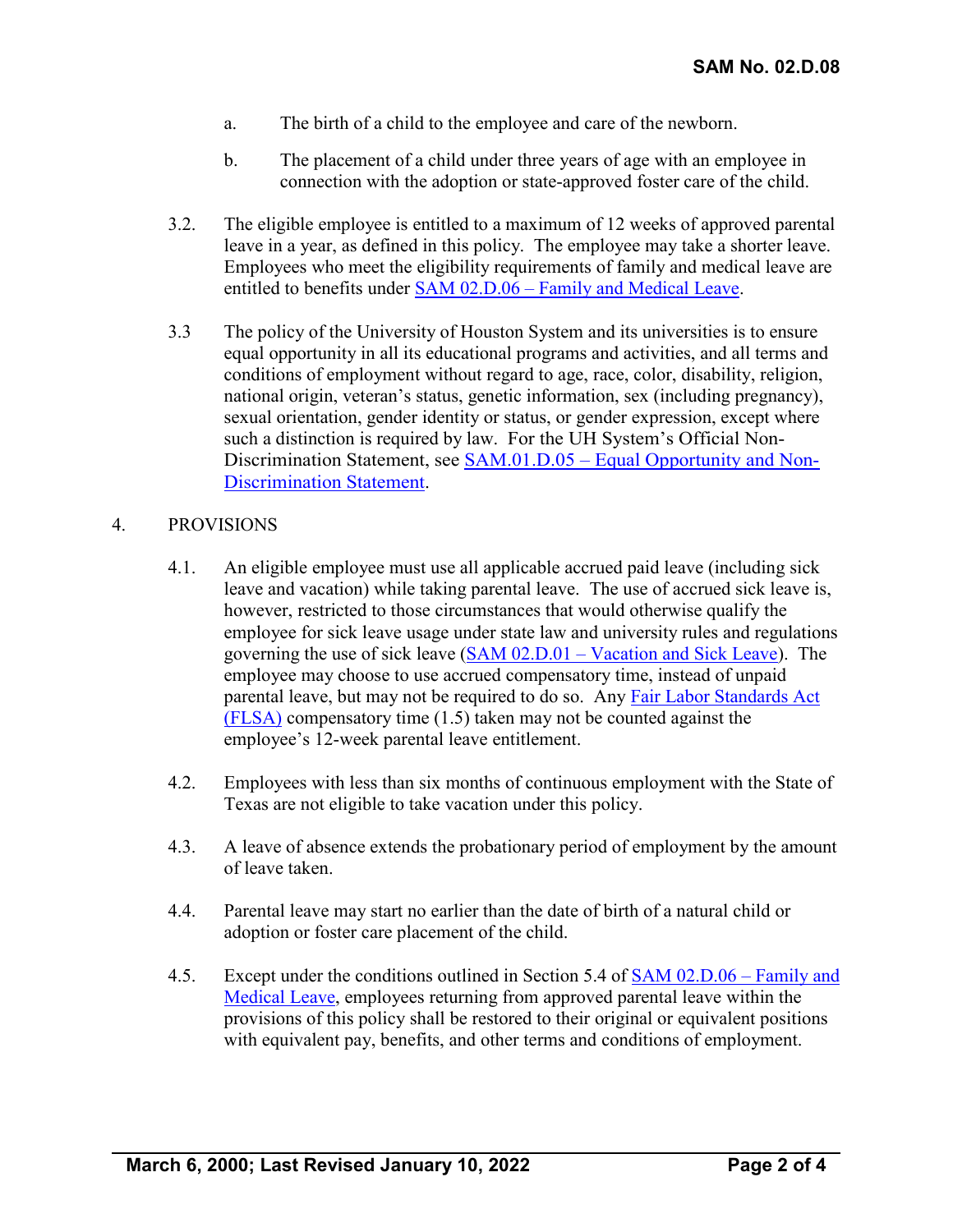- a. The birth of a child to the employee and care of the newborn.
- b. The placement of a child under three years of age with an employee in connection with the adoption or state-approved foster care of the child.
- 3.2. The eligible employee is entitled to a maximum of 12 weeks of approved parental leave in a year, as defined in this policy. The employee may take a shorter leave. Employees who meet the eligibility requirements of family and medical leave are entitled to benefits under SAM 02.D.06 – [Family and Medical Leave.](https://uhsystem.edu/compliance-ethics/_docs/sam/02/2d6.pdf)
- 3.3 The policy of the University of Houston System and its universities is to ensure equal opportunity in all its educational programs and activities, and all terms and conditions of employment without regard to age, race, color, disability, religion, national origin, veteran's status, genetic information, sex (including pregnancy), sexual orientation, gender identity or status, or gender expression, except where such a distinction is required by law. For the UH System's Official Non-Discrimination Statement, see SAM.01.D.05 – [Equal Opportunity and Non-](https://uhsystem.edu/compliance-ethics/_docs/sam/01/1d51.pdf)[Discrimination](https://uhsystem.edu/compliance-ethics/_docs/sam/01/1d51.pdf) Statement.

#### 4. PROVISIONS

- 4.1. An eligible employee must use all applicable accrued paid leave (including sick leave and vacation) while taking parental leave. The use of accrued sick leave is, however, restricted to those circumstances that would otherwise qualify the employee for sick leave usage under state law and university rules and regulations governing the use of sick leave (SAM 02.D.01 – [Vacation and Sick Leave\)](https://uhsystem.edu/compliance-ethics/_docs/sam/02/2d1.pdf). The employee may choose to use accrued compensatory time, instead of unpaid parental leave, but may not be required to do so. Any [Fair Labor Standards Act](https://www.dol.gov/agencies/whd/flsa)  [\(FLSA\)](https://www.dol.gov/agencies/whd/flsa) compensatory time (1.5) taken may not be counted against the employee's 12-week parental leave entitlement.
- 4.2. Employees with less than six months of continuous employment with the State of Texas are not eligible to take vacation under this policy.
- 4.3. A leave of absence extends the probationary period of employment by the amount of leave taken.
- 4.4. Parental leave may start no earlier than the date of birth of a natural child or adoption or foster care placement of the child.
- 4.5. Except under the conditions outlined in Section 5.4 of [SAM 02.D.06 –](https://uhsystem.edu/compliance-ethics/_docs/sam/02/2d6.pdf) Family and [Medical Leave,](https://uhsystem.edu/compliance-ethics/_docs/sam/02/2d6.pdf) employees returning from approved parental leave within the provisions of this policy shall be restored to their original or equivalent positions with equivalent pay, benefits, and other terms and conditions of employment.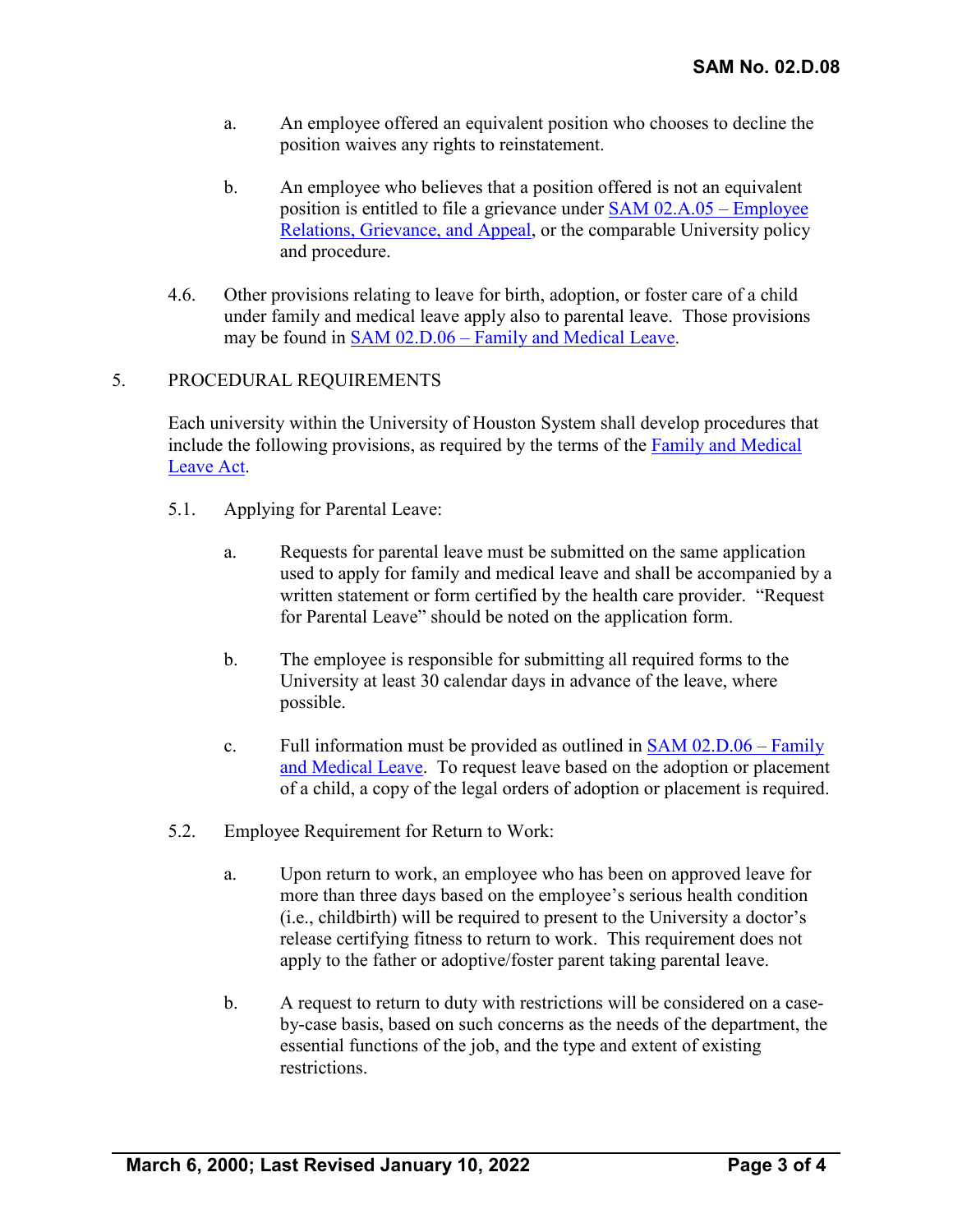- a. An employee offered an equivalent position who chooses to decline the position waives any rights to reinstatement.
- b. An employee who believes that a position offered is not an equivalent position is entitled to file a grievance under [SAM 02.A.05](https://uhsystem.edu/compliance-ethics/_docs/sam/02/2a5.pdf) – Employee [Relations, Grievance, and Appeal,](https://uhsystem.edu/compliance-ethics/_docs/sam/02/2a5.pdf) or the comparable University policy and procedure.
- 4.6. Other provisions relating to leave for birth, adoption, or foster care of a child under family and medical leave apply also to parental leave. Those provisions may be found in **SAM 02.D.06** – [Family and Medical Leave.](https://uhsystem.edu/compliance-ethics/_docs/sam/02/2d6.pdf)

## 5. PROCEDURAL REQUIREMENTS

Each university within the University of Houston System shall develop procedures that include the following provisions, as required by the terms of the [Family and Medical](https://www.dol.gov/agencies/whd/fmla)  [Leave Act.](https://www.dol.gov/agencies/whd/fmla)

- 5.1. Applying for Parental Leave:
	- a. Requests for parental leave must be submitted on the same application used to apply for family and medical leave and shall be accompanied by a written statement or form certified by the health care provider. "Request for Parental Leave" should be noted on the application form.
	- b. The employee is responsible for submitting all required forms to the University at least 30 calendar days in advance of the leave, where possible.
	- c. Full information must be provided as outlined in [SAM 02.D.06 –](https://uhsystem.edu/compliance-ethics/_docs/sam/02/2d6.pdf) Family [and Medical Leave.](https://uhsystem.edu/compliance-ethics/_docs/sam/02/2d6.pdf) To request leave based on the adoption or placement of a child, a copy of the legal orders of adoption or placement is required.
- 5.2. Employee Requirement for Return to Work:
	- a. Upon return to work, an employee who has been on approved leave for more than three days based on the employee's serious health condition (i.e., childbirth) will be required to present to the University a doctor's release certifying fitness to return to work. This requirement does not apply to the father or adoptive/foster parent taking parental leave.
	- b. A request to return to duty with restrictions will be considered on a caseby-case basis, based on such concerns as the needs of the department, the essential functions of the job, and the type and extent of existing restrictions.